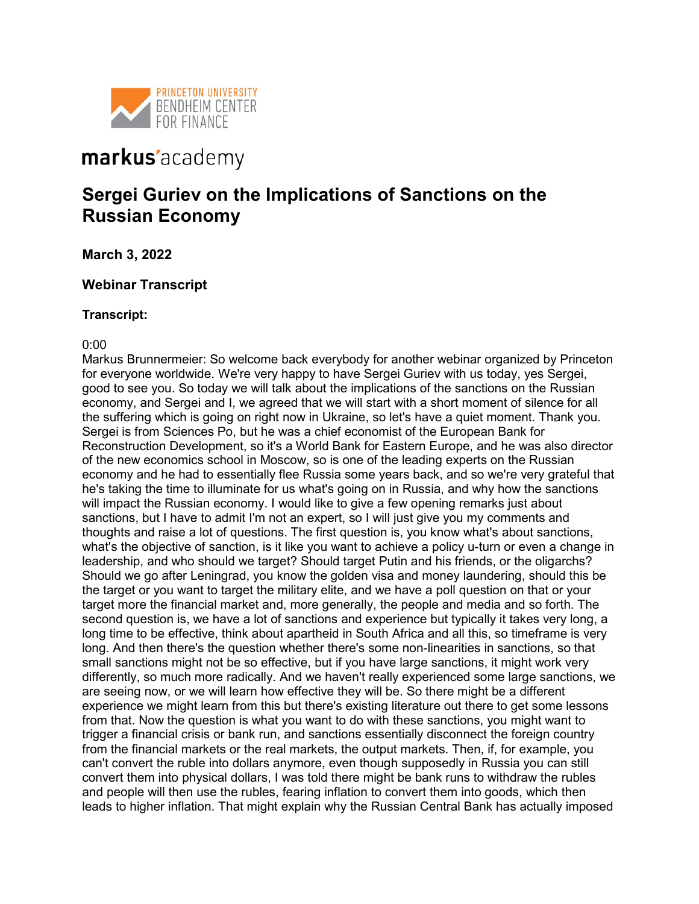

# markus'academy

## **Sergei Guriev on the Implications of Sanctions on the Russian Economy**

**March 3, 2022**

## **Webinar Transcript**

## **Transcript:**

## 0:00

Markus Brunnermeier: So welcome back everybody for another webinar organized by Princeton for everyone worldwide. We're very happy to have Sergei Guriev with us today, yes Sergei, good to see you. So today we will talk about the implications of the sanctions on the Russian economy, and Sergei and I, we agreed that we will start with a short moment of silence for all the suffering which is going on right now in Ukraine, so let's have a quiet moment. Thank you. Sergei is from Sciences Po, but he was a chief economist of the European Bank for Reconstruction Development, so it's a World Bank for Eastern Europe, and he was also director of the new economics school in Moscow, so is one of the leading experts on the Russian economy and he had to essentially flee Russia some years back, and so we're very grateful that he's taking the time to illuminate for us what's going on in Russia, and why how the sanctions will impact the Russian economy. I would like to give a few opening remarks just about sanctions, but I have to admit I'm not an expert, so I will just give you my comments and thoughts and raise a lot of questions. The first question is, you know what's about sanctions, what's the objective of sanction, is it like you want to achieve a policy u-turn or even a change in leadership, and who should we target? Should target Putin and his friends, or the oligarchs? Should we go after Leningrad, you know the golden visa and money laundering, should this be the target or you want to target the military elite, and we have a poll question on that or your target more the financial market and, more generally, the people and media and so forth. The second question is, we have a lot of sanctions and experience but typically it takes very long, a long time to be effective, think about apartheid in South Africa and all this, so timeframe is very long. And then there's the question whether there's some non-linearities in sanctions, so that small sanctions might not be so effective, but if you have large sanctions, it might work very differently, so much more radically. And we haven't really experienced some large sanctions, we are seeing now, or we will learn how effective they will be. So there might be a different experience we might learn from this but there's existing literature out there to get some lessons from that. Now the question is what you want to do with these sanctions, you might want to trigger a financial crisis or bank run, and sanctions essentially disconnect the foreign country from the financial markets or the real markets, the output markets. Then, if, for example, you can't convert the ruble into dollars anymore, even though supposedly in Russia you can still convert them into physical dollars, I was told there might be bank runs to withdraw the rubles and people will then use the rubles, fearing inflation to convert them into goods, which then leads to higher inflation. That might explain why the Russian Central Bank has actually imposed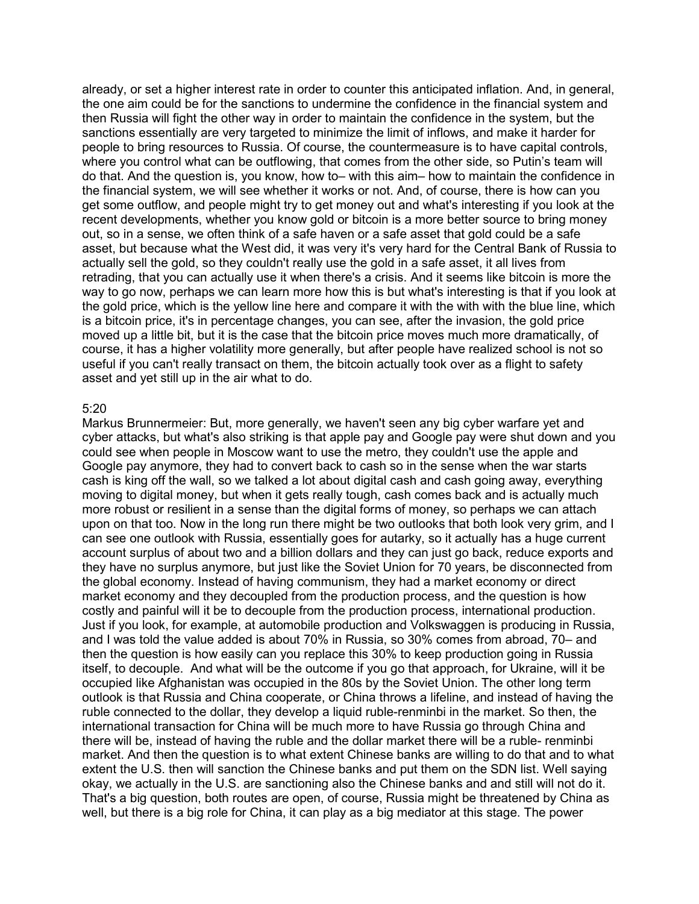already, or set a higher interest rate in order to counter this anticipated inflation. And, in general, the one aim could be for the sanctions to undermine the confidence in the financial system and then Russia will fight the other way in order to maintain the confidence in the system, but the sanctions essentially are very targeted to minimize the limit of inflows, and make it harder for people to bring resources to Russia. Of course, the countermeasure is to have capital controls, where you control what can be outflowing, that comes from the other side, so Putin's team will do that. And the question is, you know, how to– with this aim– how to maintain the confidence in the financial system, we will see whether it works or not. And, of course, there is how can you get some outflow, and people might try to get money out and what's interesting if you look at the recent developments, whether you know gold or bitcoin is a more better source to bring money out, so in a sense, we often think of a safe haven or a safe asset that gold could be a safe asset, but because what the West did, it was very it's very hard for the Central Bank of Russia to actually sell the gold, so they couldn't really use the gold in a safe asset, it all lives from retrading, that you can actually use it when there's a crisis. And it seems like bitcoin is more the way to go now, perhaps we can learn more how this is but what's interesting is that if you look at the gold price, which is the yellow line here and compare it with the with with the blue line, which is a bitcoin price, it's in percentage changes, you can see, after the invasion, the gold price moved up a little bit, but it is the case that the bitcoin price moves much more dramatically, of course, it has a higher volatility more generally, but after people have realized school is not so useful if you can't really transact on them, the bitcoin actually took over as a flight to safety asset and yet still up in the air what to do.

#### 5:20

Markus Brunnermeier: But, more generally, we haven't seen any big cyber warfare yet and cyber attacks, but what's also striking is that apple pay and Google pay were shut down and you could see when people in Moscow want to use the metro, they couldn't use the apple and Google pay anymore, they had to convert back to cash so in the sense when the war starts cash is king off the wall, so we talked a lot about digital cash and cash going away, everything moving to digital money, but when it gets really tough, cash comes back and is actually much more robust or resilient in a sense than the digital forms of money, so perhaps we can attach upon on that too. Now in the long run there might be two outlooks that both look very grim, and I can see one outlook with Russia, essentially goes for autarky, so it actually has a huge current account surplus of about two and a billion dollars and they can just go back, reduce exports and they have no surplus anymore, but just like the Soviet Union for 70 years, be disconnected from the global economy. Instead of having communism, they had a market economy or direct market economy and they decoupled from the production process, and the question is how costly and painful will it be to decouple from the production process, international production. Just if you look, for example, at automobile production and Volkswaggen is producing in Russia, and I was told the value added is about 70% in Russia, so 30% comes from abroad, 70– and then the question is how easily can you replace this 30% to keep production going in Russia itself, to decouple. And what will be the outcome if you go that approach, for Ukraine, will it be occupied like Afghanistan was occupied in the 80s by the Soviet Union. The other long term outlook is that Russia and China cooperate, or China throws a lifeline, and instead of having the ruble connected to the dollar, they develop a liquid ruble-renminbi in the market. So then, the international transaction for China will be much more to have Russia go through China and there will be, instead of having the ruble and the dollar market there will be a ruble- renminbi market. And then the question is to what extent Chinese banks are willing to do that and to what extent the U.S. then will sanction the Chinese banks and put them on the SDN list. Well saying okay, we actually in the U.S. are sanctioning also the Chinese banks and and still will not do it. That's a big question, both routes are open, of course, Russia might be threatened by China as well, but there is a big role for China, it can play as a big mediator at this stage. The power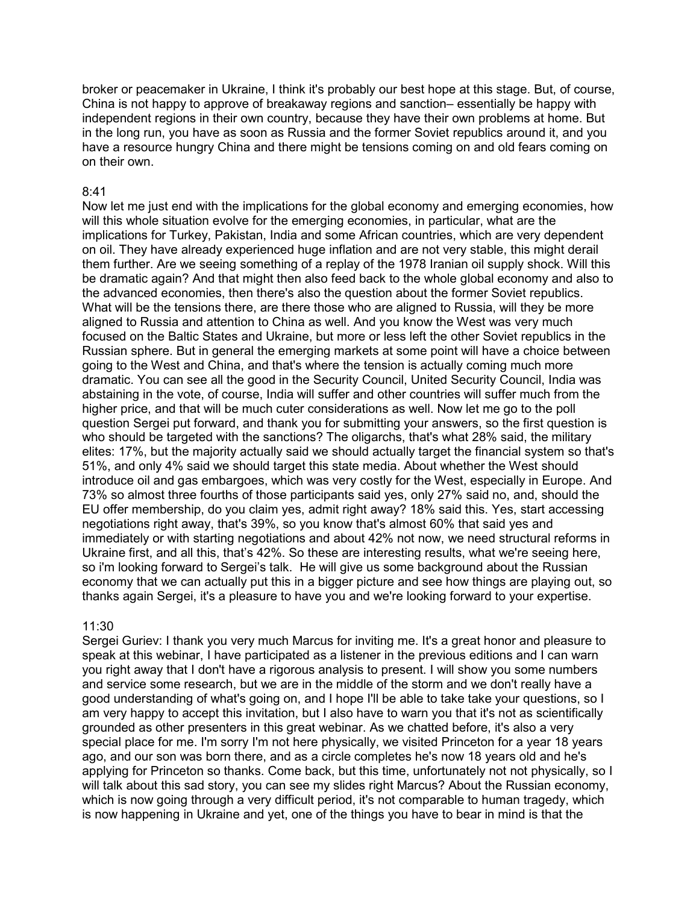broker or peacemaker in Ukraine, I think it's probably our best hope at this stage. But, of course, China is not happy to approve of breakaway regions and sanction– essentially be happy with independent regions in their own country, because they have their own problems at home. But in the long run, you have as soon as Russia and the former Soviet republics around it, and you have a resource hungry China and there might be tensions coming on and old fears coming on on their own.

#### 8:41

Now let me just end with the implications for the global economy and emerging economies, how will this whole situation evolve for the emerging economies, in particular, what are the implications for Turkey, Pakistan, India and some African countries, which are very dependent on oil. They have already experienced huge inflation and are not very stable, this might derail them further. Are we seeing something of a replay of the 1978 Iranian oil supply shock. Will this be dramatic again? And that might then also feed back to the whole global economy and also to the advanced economies, then there's also the question about the former Soviet republics. What will be the tensions there, are there those who are aligned to Russia, will they be more aligned to Russia and attention to China as well. And you know the West was very much focused on the Baltic States and Ukraine, but more or less left the other Soviet republics in the Russian sphere. But in general the emerging markets at some point will have a choice between going to the West and China, and that's where the tension is actually coming much more dramatic. You can see all the good in the Security Council, United Security Council, India was abstaining in the vote, of course, India will suffer and other countries will suffer much from the higher price, and that will be much cuter considerations as well. Now let me go to the poll question Sergei put forward, and thank you for submitting your answers, so the first question is who should be targeted with the sanctions? The oligarchs, that's what 28% said, the military elites: 17%, but the majority actually said we should actually target the financial system so that's 51%, and only 4% said we should target this state media. About whether the West should introduce oil and gas embargoes, which was very costly for the West, especially in Europe. And 73% so almost three fourths of those participants said yes, only 27% said no, and, should the EU offer membership, do you claim yes, admit right away? 18% said this. Yes, start accessing negotiations right away, that's 39%, so you know that's almost 60% that said yes and immediately or with starting negotiations and about 42% not now, we need structural reforms in Ukraine first, and all this, that's 42%. So these are interesting results, what we're seeing here, so i'm looking forward to Sergei's talk. He will give us some background about the Russian economy that we can actually put this in a bigger picture and see how things are playing out, so thanks again Sergei, it's a pleasure to have you and we're looking forward to your expertise.

#### 11:30

Sergei Guriev: I thank you very much Marcus for inviting me. It's a great honor and pleasure to speak at this webinar, I have participated as a listener in the previous editions and I can warn you right away that I don't have a rigorous analysis to present. I will show you some numbers and service some research, but we are in the middle of the storm and we don't really have a good understanding of what's going on, and I hope I'll be able to take take your questions, so I am very happy to accept this invitation, but I also have to warn you that it's not as scientifically grounded as other presenters in this great webinar. As we chatted before, it's also a very special place for me. I'm sorry I'm not here physically, we visited Princeton for a year 18 years ago, and our son was born there, and as a circle completes he's now 18 years old and he's applying for Princeton so thanks. Come back, but this time, unfortunately not not physically, so I will talk about this sad story, you can see my slides right Marcus? About the Russian economy, which is now going through a very difficult period, it's not comparable to human tragedy, which is now happening in Ukraine and yet, one of the things you have to bear in mind is that the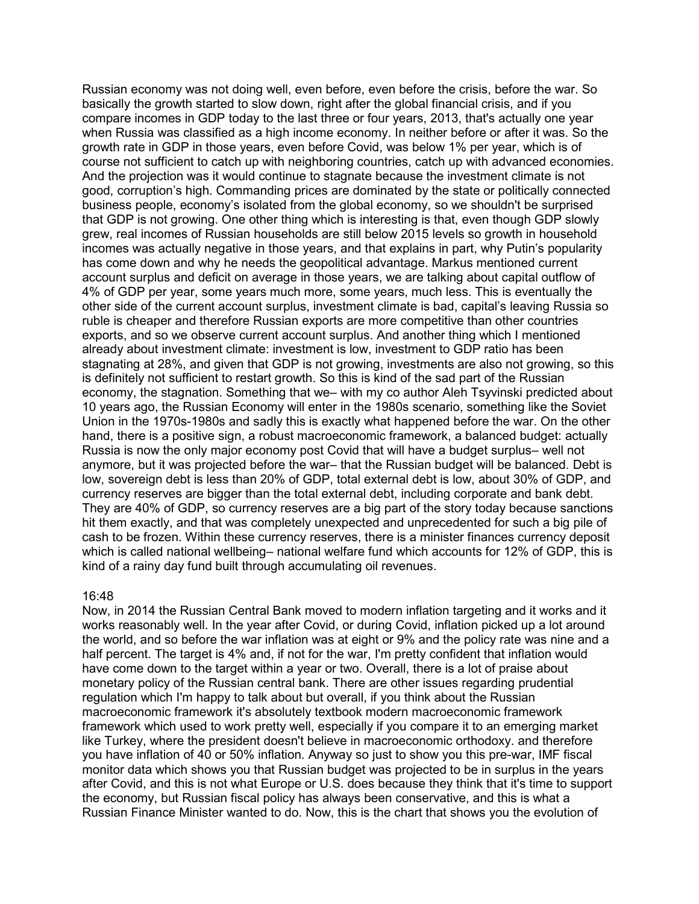Russian economy was not doing well, even before, even before the crisis, before the war. So basically the growth started to slow down, right after the global financial crisis, and if you compare incomes in GDP today to the last three or four years, 2013, that's actually one year when Russia was classified as a high income economy. In neither before or after it was. So the growth rate in GDP in those years, even before Covid, was below 1% per year, which is of course not sufficient to catch up with neighboring countries, catch up with advanced economies. And the projection was it would continue to stagnate because the investment climate is not good, corruption's high. Commanding prices are dominated by the state or politically connected business people, economy's isolated from the global economy, so we shouldn't be surprised that GDP is not growing. One other thing which is interesting is that, even though GDP slowly grew, real incomes of Russian households are still below 2015 levels so growth in household incomes was actually negative in those years, and that explains in part, why Putin's popularity has come down and why he needs the geopolitical advantage. Markus mentioned current account surplus and deficit on average in those years, we are talking about capital outflow of 4% of GDP per year, some years much more, some years, much less. This is eventually the other side of the current account surplus, investment climate is bad, capital's leaving Russia so ruble is cheaper and therefore Russian exports are more competitive than other countries exports, and so we observe current account surplus. And another thing which I mentioned already about investment climate: investment is low, investment to GDP ratio has been stagnating at 28%, and given that GDP is not growing, investments are also not growing, so this is definitely not sufficient to restart growth. So this is kind of the sad part of the Russian economy, the stagnation. Something that we– with my co author Aleh Tsyvinski predicted about 10 years ago, the Russian Economy will enter in the 1980s scenario, something like the Soviet Union in the 1970s-1980s and sadly this is exactly what happened before the war. On the other hand, there is a positive sign, a robust macroeconomic framework, a balanced budget: actually Russia is now the only major economy post Covid that will have a budget surplus– well not anymore, but it was projected before the war– that the Russian budget will be balanced. Debt is low, sovereign debt is less than 20% of GDP, total external debt is low, about 30% of GDP, and currency reserves are bigger than the total external debt, including corporate and bank debt. They are 40% of GDP, so currency reserves are a big part of the story today because sanctions hit them exactly, and that was completely unexpected and unprecedented for such a big pile of cash to be frozen. Within these currency reserves, there is a minister finances currency deposit which is called national wellbeing– national welfare fund which accounts for 12% of GDP, this is kind of a rainy day fund built through accumulating oil revenues.

#### 16:48

Now, in 2014 the Russian Central Bank moved to modern inflation targeting and it works and it works reasonably well. In the year after Covid, or during Covid, inflation picked up a lot around the world, and so before the war inflation was at eight or 9% and the policy rate was nine and a half percent. The target is 4% and, if not for the war, I'm pretty confident that inflation would have come down to the target within a year or two. Overall, there is a lot of praise about monetary policy of the Russian central bank. There are other issues regarding prudential regulation which I'm happy to talk about but overall, if you think about the Russian macroeconomic framework it's absolutely textbook modern macroeconomic framework framework which used to work pretty well, especially if you compare it to an emerging market like Turkey, where the president doesn't believe in macroeconomic orthodoxy. and therefore you have inflation of 40 or 50% inflation. Anyway so just to show you this pre-war, IMF fiscal monitor data which shows you that Russian budget was projected to be in surplus in the years after Covid, and this is not what Europe or U.S. does because they think that it's time to support the economy, but Russian fiscal policy has always been conservative, and this is what a Russian Finance Minister wanted to do. Now, this is the chart that shows you the evolution of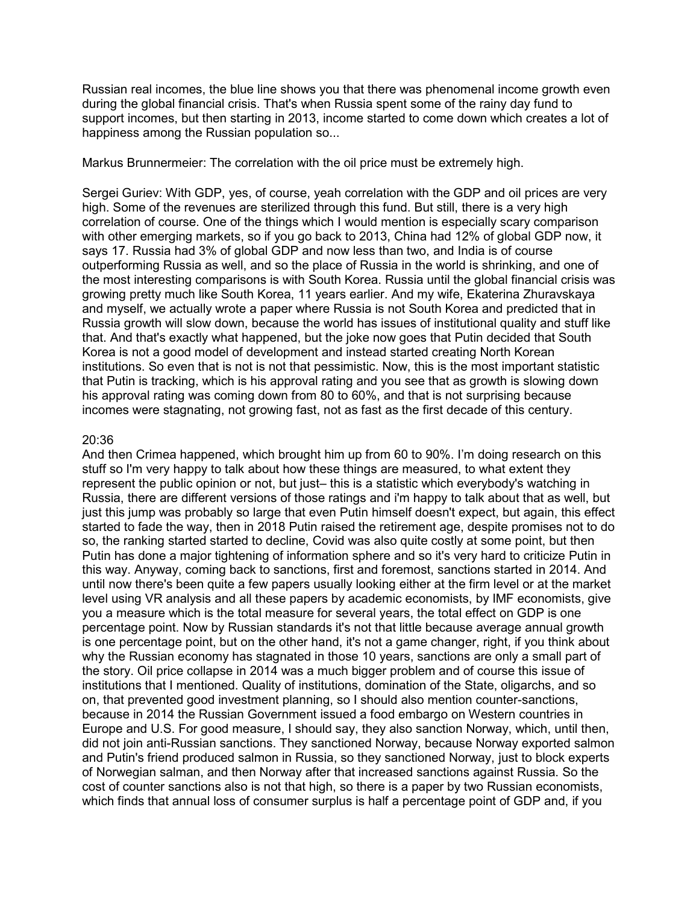Russian real incomes, the blue line shows you that there was phenomenal income growth even during the global financial crisis. That's when Russia spent some of the rainy day fund to support incomes, but then starting in 2013, income started to come down which creates a lot of happiness among the Russian population so...

Markus Brunnermeier: The correlation with the oil price must be extremely high.

Sergei Guriev: With GDP, yes, of course, yeah correlation with the GDP and oil prices are very high. Some of the revenues are sterilized through this fund. But still, there is a very high correlation of course. One of the things which I would mention is especially scary comparison with other emerging markets, so if you go back to 2013, China had 12% of global GDP now, it says 17. Russia had 3% of global GDP and now less than two, and India is of course outperforming Russia as well, and so the place of Russia in the world is shrinking, and one of the most interesting comparisons is with South Korea. Russia until the global financial crisis was growing pretty much like South Korea, 11 years earlier. And my wife, Ekaterina Zhuravskaya and myself, we actually wrote a paper where Russia is not South Korea and predicted that in Russia growth will slow down, because the world has issues of institutional quality and stuff like that. And that's exactly what happened, but the joke now goes that Putin decided that South Korea is not a good model of development and instead started creating North Korean institutions. So even that is not is not that pessimistic. Now, this is the most important statistic that Putin is tracking, which is his approval rating and you see that as growth is slowing down his approval rating was coming down from 80 to 60%, and that is not surprising because incomes were stagnating, not growing fast, not as fast as the first decade of this century.

#### 20:36

And then Crimea happened, which brought him up from 60 to 90%. I'm doing research on this stuff so I'm very happy to talk about how these things are measured, to what extent they represent the public opinion or not, but just– this is a statistic which everybody's watching in Russia, there are different versions of those ratings and i'm happy to talk about that as well, but just this jump was probably so large that even Putin himself doesn't expect, but again, this effect started to fade the way, then in 2018 Putin raised the retirement age, despite promises not to do so, the ranking started started to decline, Covid was also quite costly at some point, but then Putin has done a major tightening of information sphere and so it's very hard to criticize Putin in this way. Anyway, coming back to sanctions, first and foremost, sanctions started in 2014. And until now there's been quite a few papers usually looking either at the firm level or at the market level using VR analysis and all these papers by academic economists, by IMF economists, give you a measure which is the total measure for several years, the total effect on GDP is one percentage point. Now by Russian standards it's not that little because average annual growth is one percentage point, but on the other hand, it's not a game changer, right, if you think about why the Russian economy has stagnated in those 10 years, sanctions are only a small part of the story. Oil price collapse in 2014 was a much bigger problem and of course this issue of institutions that I mentioned. Quality of institutions, domination of the State, oligarchs, and so on, that prevented good investment planning, so I should also mention counter-sanctions, because in 2014 the Russian Government issued a food embargo on Western countries in Europe and U.S. For good measure, I should say, they also sanction Norway, which, until then, did not join anti-Russian sanctions. They sanctioned Norway, because Norway exported salmon and Putin's friend produced salmon in Russia, so they sanctioned Norway, just to block experts of Norwegian salman, and then Norway after that increased sanctions against Russia. So the cost of counter sanctions also is not that high, so there is a paper by two Russian economists, which finds that annual loss of consumer surplus is half a percentage point of GDP and, if you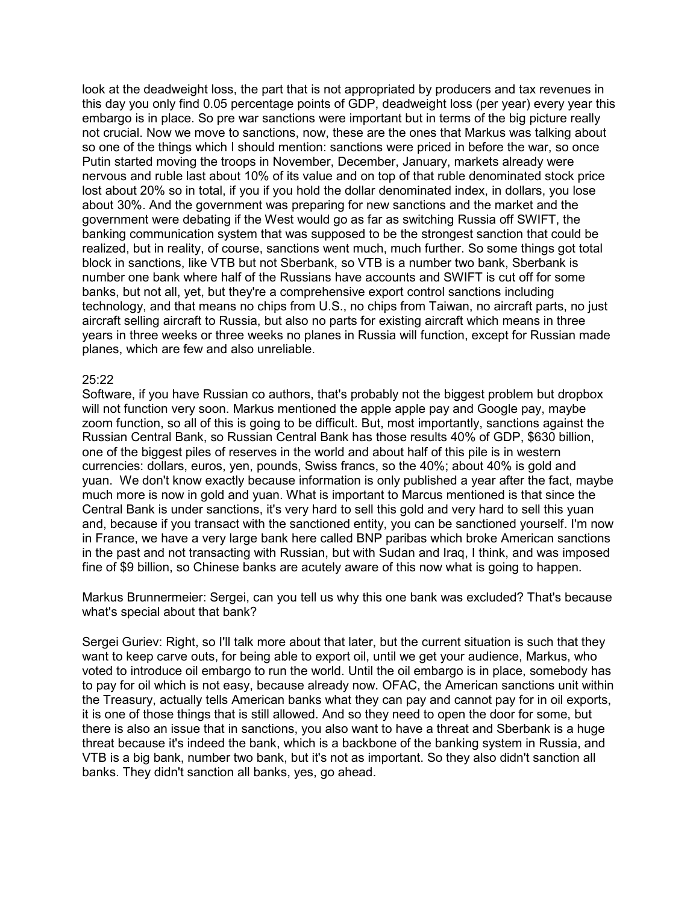look at the deadweight loss, the part that is not appropriated by producers and tax revenues in this day you only find 0.05 percentage points of GDP, deadweight loss (per year) every year this embargo is in place. So pre war sanctions were important but in terms of the big picture really not crucial. Now we move to sanctions, now, these are the ones that Markus was talking about so one of the things which I should mention: sanctions were priced in before the war, so once Putin started moving the troops in November, December, January, markets already were nervous and ruble last about 10% of its value and on top of that ruble denominated stock price lost about 20% so in total, if you if you hold the dollar denominated index, in dollars, you lose about 30%. And the government was preparing for new sanctions and the market and the government were debating if the West would go as far as switching Russia off SWIFT, the banking communication system that was supposed to be the strongest sanction that could be realized, but in reality, of course, sanctions went much, much further. So some things got total block in sanctions, like VTB but not Sberbank, so VTB is a number two bank, Sberbank is number one bank where half of the Russians have accounts and SWIFT is cut off for some banks, but not all, yet, but they're a comprehensive export control sanctions including technology, and that means no chips from U.S., no chips from Taiwan, no aircraft parts, no just aircraft selling aircraft to Russia, but also no parts for existing aircraft which means in three years in three weeks or three weeks no planes in Russia will function, except for Russian made planes, which are few and also unreliable.

#### 25:22

Software, if you have Russian co authors, that's probably not the biggest problem but dropbox will not function very soon. Markus mentioned the apple apple pay and Google pay, maybe zoom function, so all of this is going to be difficult. But, most importantly, sanctions against the Russian Central Bank, so Russian Central Bank has those results 40% of GDP, \$630 billion, one of the biggest piles of reserves in the world and about half of this pile is in western currencies: dollars, euros, yen, pounds, Swiss francs, so the 40%; about 40% is gold and yuan. We don't know exactly because information is only published a year after the fact, maybe much more is now in gold and yuan. What is important to Marcus mentioned is that since the Central Bank is under sanctions, it's very hard to sell this gold and very hard to sell this yuan and, because if you transact with the sanctioned entity, you can be sanctioned yourself. I'm now in France, we have a very large bank here called BNP paribas which broke American sanctions in the past and not transacting with Russian, but with Sudan and Iraq, I think, and was imposed fine of \$9 billion, so Chinese banks are acutely aware of this now what is going to happen.

Markus Brunnermeier: Sergei, can you tell us why this one bank was excluded? That's because what's special about that bank?

Sergei Guriev: Right, so I'll talk more about that later, but the current situation is such that they want to keep carve outs, for being able to export oil, until we get your audience, Markus, who voted to introduce oil embargo to run the world. Until the oil embargo is in place, somebody has to pay for oil which is not easy, because already now. OFAC, the American sanctions unit within the Treasury, actually tells American banks what they can pay and cannot pay for in oil exports, it is one of those things that is still allowed. And so they need to open the door for some, but there is also an issue that in sanctions, you also want to have a threat and Sberbank is a huge threat because it's indeed the bank, which is a backbone of the banking system in Russia, and VTB is a big bank, number two bank, but it's not as important. So they also didn't sanction all banks. They didn't sanction all banks, yes, go ahead.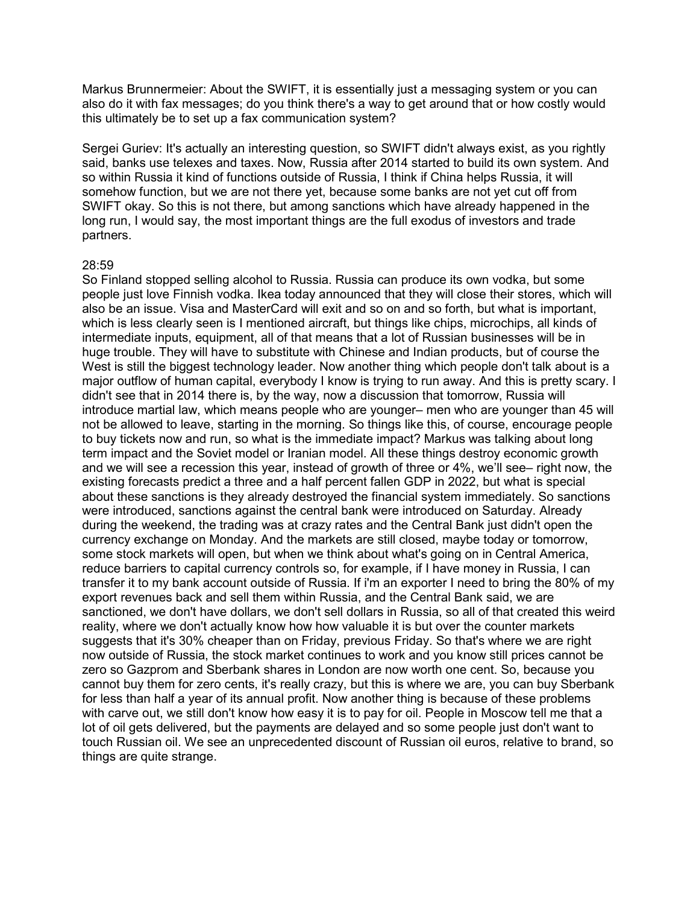Markus Brunnermeier: About the SWIFT, it is essentially just a messaging system or you can also do it with fax messages; do you think there's a way to get around that or how costly would this ultimately be to set up a fax communication system?

Sergei Guriev: It's actually an interesting question, so SWIFT didn't always exist, as you rightly said, banks use telexes and taxes. Now, Russia after 2014 started to build its own system. And so within Russia it kind of functions outside of Russia, I think if China helps Russia, it will somehow function, but we are not there yet, because some banks are not yet cut off from SWIFT okay. So this is not there, but among sanctions which have already happened in the long run, I would say, the most important things are the full exodus of investors and trade partners.

#### 28:59

So Finland stopped selling alcohol to Russia. Russia can produce its own vodka, but some people just love Finnish vodka. Ikea today announced that they will close their stores, which will also be an issue. Visa and MasterCard will exit and so on and so forth, but what is important, which is less clearly seen is I mentioned aircraft, but things like chips, microchips, all kinds of intermediate inputs, equipment, all of that means that a lot of Russian businesses will be in huge trouble. They will have to substitute with Chinese and Indian products, but of course the West is still the biggest technology leader. Now another thing which people don't talk about is a major outflow of human capital, everybody I know is trying to run away. And this is pretty scary. I didn't see that in 2014 there is, by the way, now a discussion that tomorrow, Russia will introduce martial law, which means people who are younger– men who are younger than 45 will not be allowed to leave, starting in the morning. So things like this, of course, encourage people to buy tickets now and run, so what is the immediate impact? Markus was talking about long term impact and the Soviet model or Iranian model. All these things destroy economic growth and we will see a recession this year, instead of growth of three or 4%, we'll see– right now, the existing forecasts predict a three and a half percent fallen GDP in 2022, but what is special about these sanctions is they already destroyed the financial system immediately. So sanctions were introduced, sanctions against the central bank were introduced on Saturday. Already during the weekend, the trading was at crazy rates and the Central Bank just didn't open the currency exchange on Monday. And the markets are still closed, maybe today or tomorrow, some stock markets will open, but when we think about what's going on in Central America, reduce barriers to capital currency controls so, for example, if I have money in Russia, I can transfer it to my bank account outside of Russia. If i'm an exporter I need to bring the 80% of my export revenues back and sell them within Russia, and the Central Bank said, we are sanctioned, we don't have dollars, we don't sell dollars in Russia, so all of that created this weird reality, where we don't actually know how how valuable it is but over the counter markets suggests that it's 30% cheaper than on Friday, previous Friday. So that's where we are right now outside of Russia, the stock market continues to work and you know still prices cannot be zero so Gazprom and Sberbank shares in London are now worth one cent. So, because you cannot buy them for zero cents, it's really crazy, but this is where we are, you can buy Sberbank for less than half a year of its annual profit. Now another thing is because of these problems with carve out, we still don't know how easy it is to pay for oil. People in Moscow tell me that a lot of oil gets delivered, but the payments are delayed and so some people just don't want to touch Russian oil. We see an unprecedented discount of Russian oil euros, relative to brand, so things are quite strange.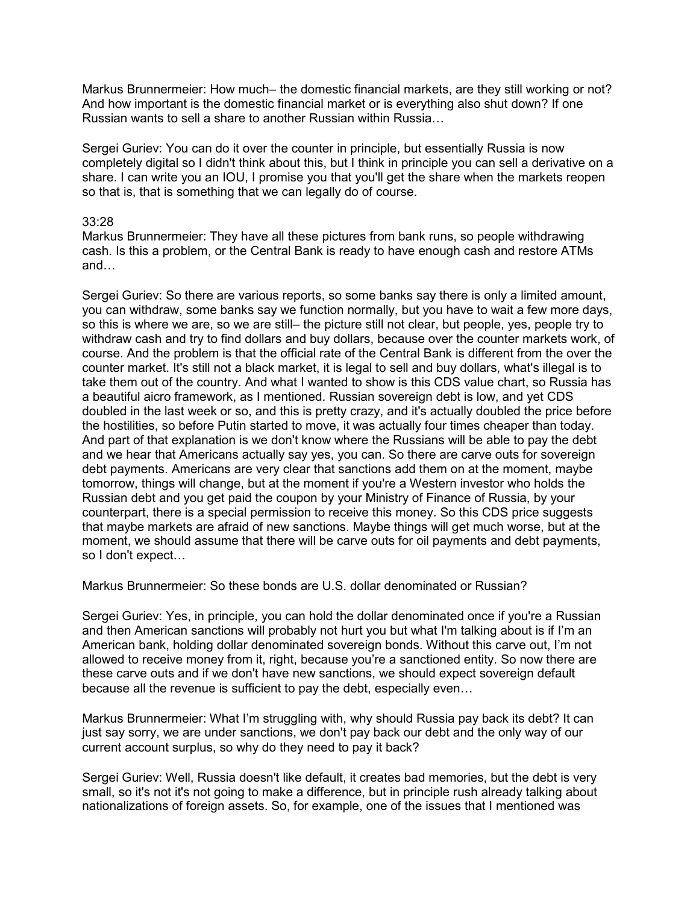Markus Brunnermeier: How much– the domestic financial markets, are they still working or not? And how important is the domestic financial market or is everything also shut down? If one Russian wants to sell a share to another Russian within Russia…

Sergei Guriev: You can do it over the counter in principle, but essentially Russia is now completely digital so I didn't think about this, but I think in principle you can sell a derivative on a share. I can write you an IOU, I promise you that you'll get the share when the markets reopen so that is, that is something that we can legally do of course.

#### 33:28

Markus Brunnermeier: They have all these pictures from bank runs, so people withdrawing cash. Is this a problem, or the Central Bank is ready to have enough cash and restore ATMs and…

Sergei Guriev: So there are various reports, so some banks say there is only a limited amount, you can withdraw, some banks say we function normally, but you have to wait a few more days, so this is where we are, so we are still– the picture still not clear, but people, yes, people try to withdraw cash and try to find dollars and buy dollars, because over the counter markets work, of course. And the problem is that the official rate of the Central Bank is different from the over the counter market. It's still not a black market, it is legal to sell and buy dollars, what's illegal is to take them out of the country. And what I wanted to show is this CDS value chart, so Russia has a beautiful aicro framework, as I mentioned. Russian sovereign debt is low, and yet CDS doubled in the last week or so, and this is pretty crazy, and it's actually doubled the price before the hostilities, so before Putin started to move, it was actually four times cheaper than today. And part of that explanation is we don't know where the Russians will be able to pay the debt and we hear that Americans actually say yes, you can. So there are carve outs for sovereign debt payments. Americans are very clear that sanctions add them on at the moment, maybe tomorrow, things will change, but at the moment if you're a Western investor who holds the Russian debt and you get paid the coupon by your Ministry of Finance of Russia, by your counterpart, there is a special permission to receive this money. So this CDS price suggests that maybe markets are afraid of new sanctions. Maybe things will get much worse, but at the moment, we should assume that there will be carve outs for oil payments and debt payments, so I don't expect…

Markus Brunnermeier: So these bonds are U.S. dollar denominated or Russian?

Sergei Guriev: Yes, in principle, you can hold the dollar denominated once if you're a Russian and then American sanctions will probably not hurt you but what I'm talking about is if I'm an American bank, holding dollar denominated sovereign bonds. Without this carve out, I'm not allowed to receive money from it, right, because you're a sanctioned entity. So now there are these carve outs and if we don't have new sanctions, we should expect sovereign default because all the revenue is sufficient to pay the debt, especially even…

Markus Brunnermeier: What I'm struggling with, why should Russia pay back its debt? It can just say sorry, we are under sanctions, we don't pay back our debt and the only way of our current account surplus, so why do they need to pay it back?

Sergei Guriev: Well, Russia doesn't like default, it creates bad memories, but the debt is very small, so it's not it's not going to make a difference, but in principle rush already talking about nationalizations of foreign assets. So, for example, one of the issues that I mentioned was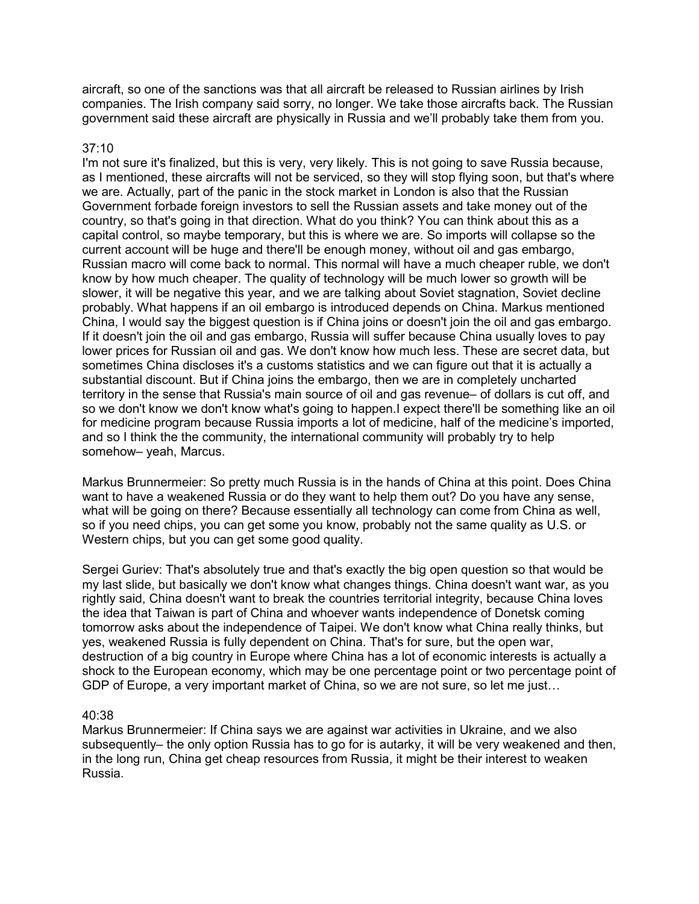aircraft, so one of the sanctions was that all aircraft be released to Russian airlines by Irish companies. The Irish company said sorry, no longer. We take those aircrafts back. The Russian government said these aircraft are physically in Russia and we'll probably take them from you.

#### 37:10

I'm not sure it's finalized, but this is very, very likely. This is not going to save Russia because, as I mentioned, these aircrafts will not be serviced, so they will stop flying soon, but that's where we are. Actually, part of the panic in the stock market in London is also that the Russian Government forbade foreign investors to sell the Russian assets and take money out of the country, so that's going in that direction. What do you think? You can think about this as a capital control, so maybe temporary, but this is where we are. So imports will collapse so the current account will be huge and there'll be enough money, without oil and gas embargo, Russian macro will come back to normal. This normal will have a much cheaper ruble, we don't know by how much cheaper. The quality of technology will be much lower so growth will be slower, it will be negative this year, and we are talking about Soviet stagnation, Soviet decline probably. What happens if an oil embargo is introduced depends on China. Markus mentioned China, I would say the biggest question is if China joins or doesn't join the oil and gas embargo. If it doesn't join the oil and gas embargo, Russia will suffer because China usually loves to pay lower prices for Russian oil and gas. We don't know how much less. These are secret data, but sometimes China discloses it's a customs statistics and we can figure out that it is actually a substantial discount. But if China joins the embargo, then we are in completely uncharted territory in the sense that Russia's main source of oil and gas revenue– of dollars is cut off, and so we don't know we don't know what's going to happen.I expect there'll be something like an oil for medicine program because Russia imports a lot of medicine, half of the medicine's imported, and so I think the the community, the international community will probably try to help somehow– yeah, Marcus.

Markus Brunnermeier: So pretty much Russia is in the hands of China at this point. Does China want to have a weakened Russia or do they want to help them out? Do you have any sense, what will be going on there? Because essentially all technology can come from China as well, so if you need chips, you can get some you know, probably not the same quality as U.S. or Western chips, but you can get some good quality.

Sergei Guriev: That's absolutely true and that's exactly the big open question so that would be my last slide, but basically we don't know what changes things. China doesn't want war, as you rightly said, China doesn't want to break the countries territorial integrity, because China loves the idea that Taiwan is part of China and whoever wants independence of Donetsk coming tomorrow asks about the independence of Taipei. We don't know what China really thinks, but yes, weakened Russia is fully dependent on China. That's for sure, but the open war, destruction of a big country in Europe where China has a lot of economic interests is actually a shock to the European economy, which may be one percentage point or two percentage point of GDP of Europe, a very important market of China, so we are not sure, so let me just…

#### 40:38

Markus Brunnermeier: If China says we are against war activities in Ukraine, and we also subsequently– the only option Russia has to go for is autarky, it will be very weakened and then, in the long run, China get cheap resources from Russia, it might be their interest to weaken Russia.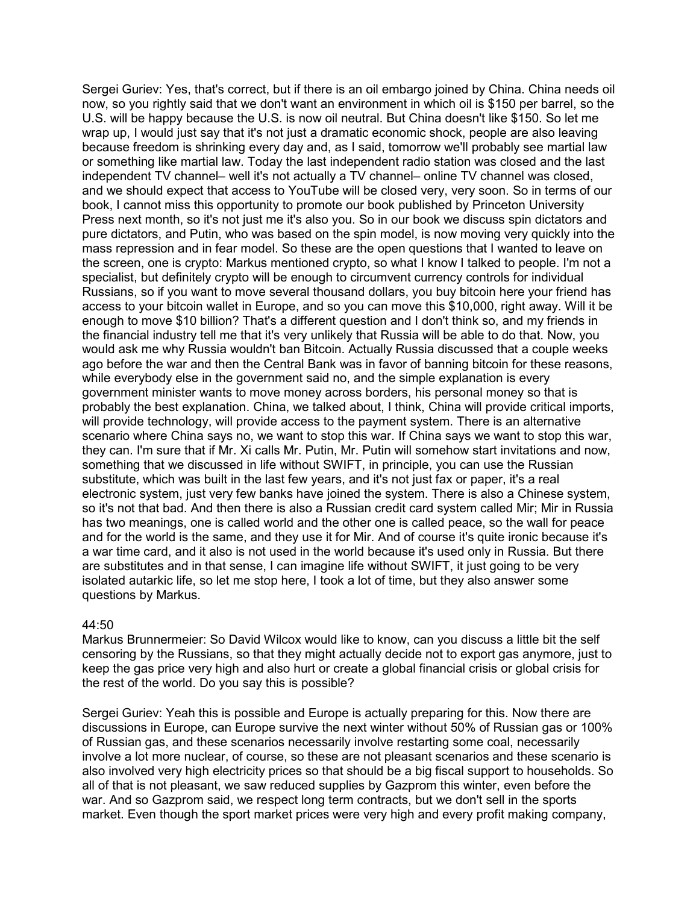Sergei Guriev: Yes, that's correct, but if there is an oil embargo joined by China. China needs oil now, so you rightly said that we don't want an environment in which oil is \$150 per barrel, so the U.S. will be happy because the U.S. is now oil neutral. But China doesn't like \$150. So let me wrap up, I would just say that it's not just a dramatic economic shock, people are also leaving because freedom is shrinking every day and, as I said, tomorrow we'll probably see martial law or something like martial law. Today the last independent radio station was closed and the last independent TV channel– well it's not actually a TV channel– online TV channel was closed, and we should expect that access to YouTube will be closed very, very soon. So in terms of our book, I cannot miss this opportunity to promote our book published by Princeton University Press next month, so it's not just me it's also you. So in our book we discuss spin dictators and pure dictators, and Putin, who was based on the spin model, is now moving very quickly into the mass repression and in fear model. So these are the open questions that I wanted to leave on the screen, one is crypto: Markus mentioned crypto, so what I know I talked to people. I'm not a specialist, but definitely crypto will be enough to circumvent currency controls for individual Russians, so if you want to move several thousand dollars, you buy bitcoin here your friend has access to your bitcoin wallet in Europe, and so you can move this \$10,000, right away. Will it be enough to move \$10 billion? That's a different question and I don't think so, and my friends in the financial industry tell me that it's very unlikely that Russia will be able to do that. Now, you would ask me why Russia wouldn't ban Bitcoin. Actually Russia discussed that a couple weeks ago before the war and then the Central Bank was in favor of banning bitcoin for these reasons, while everybody else in the government said no, and the simple explanation is every government minister wants to move money across borders, his personal money so that is probably the best explanation. China, we talked about, I think, China will provide critical imports, will provide technology, will provide access to the payment system. There is an alternative scenario where China says no, we want to stop this war. If China says we want to stop this war, they can. I'm sure that if Mr. Xi calls Mr. Putin, Mr. Putin will somehow start invitations and now, something that we discussed in life without SWIFT, in principle, you can use the Russian substitute, which was built in the last few years, and it's not just fax or paper, it's a real electronic system, just very few banks have joined the system. There is also a Chinese system, so it's not that bad. And then there is also a Russian credit card system called Mir; Mir in Russia has two meanings, one is called world and the other one is called peace, so the wall for peace and for the world is the same, and they use it for Mir. And of course it's quite ironic because it's a war time card, and it also is not used in the world because it's used only in Russia. But there are substitutes and in that sense, I can imagine life without SWIFT, it just going to be very isolated autarkic life, so let me stop here, I took a lot of time, but they also answer some questions by Markus.

#### 44:50

Markus Brunnermeier: So David Wilcox would like to know, can you discuss a little bit the self censoring by the Russians, so that they might actually decide not to export gas anymore, just to keep the gas price very high and also hurt or create a global financial crisis or global crisis for the rest of the world. Do you say this is possible?

Sergei Guriev: Yeah this is possible and Europe is actually preparing for this. Now there are discussions in Europe, can Europe survive the next winter without 50% of Russian gas or 100% of Russian gas, and these scenarios necessarily involve restarting some coal, necessarily involve a lot more nuclear, of course, so these are not pleasant scenarios and these scenario is also involved very high electricity prices so that should be a big fiscal support to households. So all of that is not pleasant, we saw reduced supplies by Gazprom this winter, even before the war. And so Gazprom said, we respect long term contracts, but we don't sell in the sports market. Even though the sport market prices were very high and every profit making company,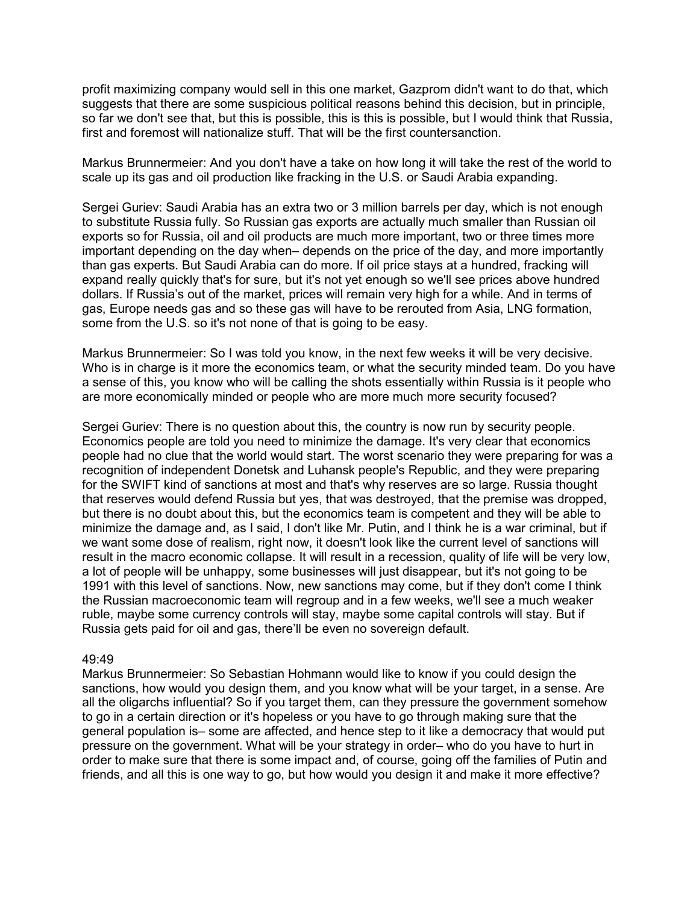profit maximizing company would sell in this one market, Gazprom didn't want to do that, which suggests that there are some suspicious political reasons behind this decision, but in principle, so far we don't see that, but this is possible, this is this is possible, but I would think that Russia, first and foremost will nationalize stuff. That will be the first countersanction.

Markus Brunnermeier: And you don't have a take on how long it will take the rest of the world to scale up its gas and oil production like fracking in the U.S. or Saudi Arabia expanding.

Sergei Guriev: Saudi Arabia has an extra two or 3 million barrels per day, which is not enough to substitute Russia fully. So Russian gas exports are actually much smaller than Russian oil exports so for Russia, oil and oil products are much more important, two or three times more important depending on the day when– depends on the price of the day, and more importantly than gas experts. But Saudi Arabia can do more. If oil price stays at a hundred, fracking will expand really quickly that's for sure, but it's not yet enough so we'll see prices above hundred dollars. If Russia's out of the market, prices will remain very high for a while. And in terms of gas, Europe needs gas and so these gas will have to be rerouted from Asia, LNG formation, some from the U.S. so it's not none of that is going to be easy.

Markus Brunnermeier: So I was told you know, in the next few weeks it will be very decisive. Who is in charge is it more the economics team, or what the security minded team. Do you have a sense of this, you know who will be calling the shots essentially within Russia is it people who are more economically minded or people who are more much more security focused?

Sergei Guriev: There is no question about this, the country is now run by security people. Economics people are told you need to minimize the damage. It's very clear that economics people had no clue that the world would start. The worst scenario they were preparing for was a recognition of independent Donetsk and Luhansk people's Republic, and they were preparing for the SWIFT kind of sanctions at most and that's why reserves are so large. Russia thought that reserves would defend Russia but yes, that was destroyed, that the premise was dropped, but there is no doubt about this, but the economics team is competent and they will be able to minimize the damage and, as I said, I don't like Mr. Putin, and I think he is a war criminal, but if we want some dose of realism, right now, it doesn't look like the current level of sanctions will result in the macro economic collapse. It will result in a recession, quality of life will be very low, a lot of people will be unhappy, some businesses will just disappear, but it's not going to be 1991 with this level of sanctions. Now, new sanctions may come, but if they don't come I think the Russian macroeconomic team will regroup and in a few weeks, we'll see a much weaker ruble, maybe some currency controls will stay, maybe some capital controls will stay. But if Russia gets paid for oil and gas, there'll be even no sovereign default.

#### 49:49

Markus Brunnermeier: So Sebastian Hohmann would like to know if you could design the sanctions, how would you design them, and you know what will be your target, in a sense. Are all the oligarchs influential? So if you target them, can they pressure the government somehow to go in a certain direction or it's hopeless or you have to go through making sure that the general population is– some are affected, and hence step to it like a democracy that would put pressure on the government. What will be your strategy in order– who do you have to hurt in order to make sure that there is some impact and, of course, going off the families of Putin and friends, and all this is one way to go, but how would you design it and make it more effective?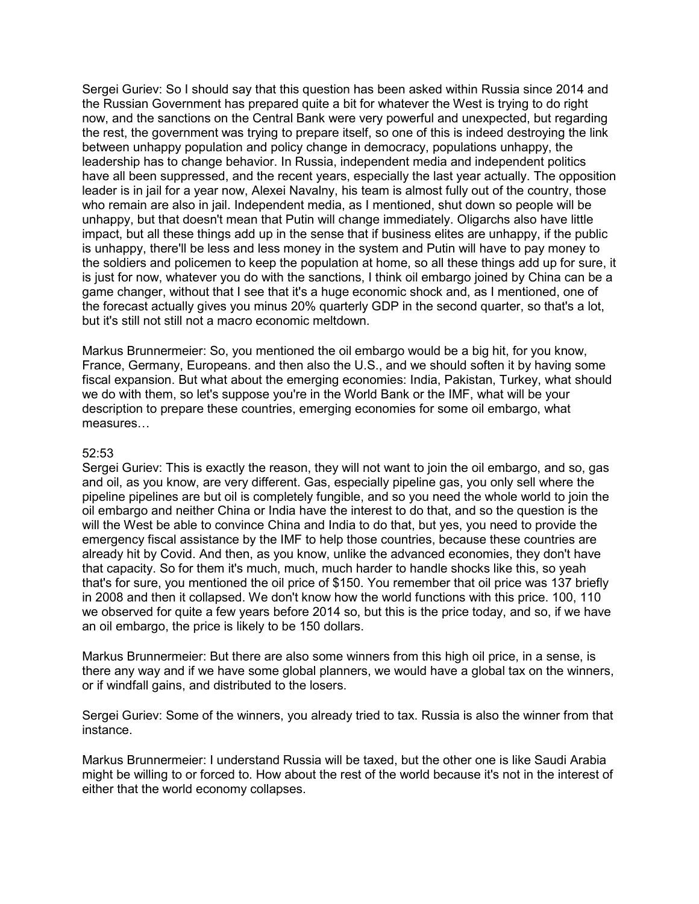Sergei Guriev: So I should say that this question has been asked within Russia since 2014 and the Russian Government has prepared quite a bit for whatever the West is trying to do right now, and the sanctions on the Central Bank were very powerful and unexpected, but regarding the rest, the government was trying to prepare itself, so one of this is indeed destroying the link between unhappy population and policy change in democracy, populations unhappy, the leadership has to change behavior. In Russia, independent media and independent politics have all been suppressed, and the recent years, especially the last year actually. The opposition leader is in jail for a year now, Alexei Navalny, his team is almost fully out of the country, those who remain are also in jail. Independent media, as I mentioned, shut down so people will be unhappy, but that doesn't mean that Putin will change immediately. Oligarchs also have little impact, but all these things add up in the sense that if business elites are unhappy, if the public is unhappy, there'll be less and less money in the system and Putin will have to pay money to the soldiers and policemen to keep the population at home, so all these things add up for sure, it is just for now, whatever you do with the sanctions, I think oil embargo joined by China can be a game changer, without that I see that it's a huge economic shock and, as I mentioned, one of the forecast actually gives you minus 20% quarterly GDP in the second quarter, so that's a lot, but it's still not still not a macro economic meltdown.

Markus Brunnermeier: So, you mentioned the oil embargo would be a big hit, for you know, France, Germany, Europeans. and then also the U.S., and we should soften it by having some fiscal expansion. But what about the emerging economies: India, Pakistan, Turkey, what should we do with them, so let's suppose you're in the World Bank or the IMF, what will be your description to prepare these countries, emerging economies for some oil embargo, what measures…

#### 52:53

Sergei Guriev: This is exactly the reason, they will not want to join the oil embargo, and so, gas and oil, as you know, are very different. Gas, especially pipeline gas, you only sell where the pipeline pipelines are but oil is completely fungible, and so you need the whole world to join the oil embargo and neither China or India have the interest to do that, and so the question is the will the West be able to convince China and India to do that, but yes, you need to provide the emergency fiscal assistance by the IMF to help those countries, because these countries are already hit by Covid. And then, as you know, unlike the advanced economies, they don't have that capacity. So for them it's much, much, much harder to handle shocks like this, so yeah that's for sure, you mentioned the oil price of \$150. You remember that oil price was 137 briefly in 2008 and then it collapsed. We don't know how the world functions with this price. 100, 110 we observed for quite a few years before 2014 so, but this is the price today, and so, if we have an oil embargo, the price is likely to be 150 dollars.

Markus Brunnermeier: But there are also some winners from this high oil price, in a sense, is there any way and if we have some global planners, we would have a global tax on the winners, or if windfall gains, and distributed to the losers.

Sergei Guriev: Some of the winners, you already tried to tax. Russia is also the winner from that instance.

Markus Brunnermeier: I understand Russia will be taxed, but the other one is like Saudi Arabia might be willing to or forced to. How about the rest of the world because it's not in the interest of either that the world economy collapses.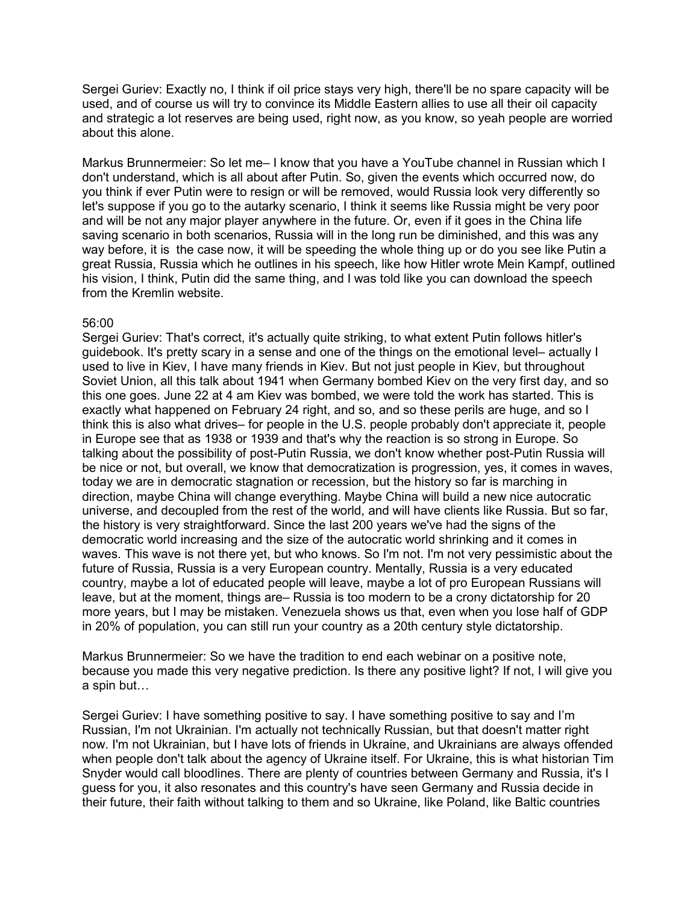Sergei Guriev: Exactly no, I think if oil price stays very high, there'll be no spare capacity will be used, and of course us will try to convince its Middle Eastern allies to use all their oil capacity and strategic a lot reserves are being used, right now, as you know, so yeah people are worried about this alone.

Markus Brunnermeier: So let me– I know that you have a YouTube channel in Russian which I don't understand, which is all about after Putin. So, given the events which occurred now, do you think if ever Putin were to resign or will be removed, would Russia look very differently so let's suppose if you go to the autarky scenario, I think it seems like Russia might be very poor and will be not any major player anywhere in the future. Or, even if it goes in the China life saving scenario in both scenarios, Russia will in the long run be diminished, and this was any way before, it is the case now, it will be speeding the whole thing up or do you see like Putin a great Russia, Russia which he outlines in his speech, like how Hitler wrote Mein Kampf, outlined his vision, I think, Putin did the same thing, and I was told like you can download the speech from the Kremlin website.

#### 56:00

Sergei Guriev: That's correct, it's actually quite striking, to what extent Putin follows hitler's guidebook. It's pretty scary in a sense and one of the things on the emotional level– actually I used to live in Kiev, I have many friends in Kiev. But not just people in Kiev, but throughout Soviet Union, all this talk about 1941 when Germany bombed Kiev on the very first day, and so this one goes. June 22 at 4 am Kiev was bombed, we were told the work has started. This is exactly what happened on February 24 right, and so, and so these perils are huge, and so I think this is also what drives– for people in the U.S. people probably don't appreciate it, people in Europe see that as 1938 or 1939 and that's why the reaction is so strong in Europe. So talking about the possibility of post-Putin Russia, we don't know whether post-Putin Russia will be nice or not, but overall, we know that democratization is progression, yes, it comes in waves, today we are in democratic stagnation or recession, but the history so far is marching in direction, maybe China will change everything. Maybe China will build a new nice autocratic universe, and decoupled from the rest of the world, and will have clients like Russia. But so far, the history is very straightforward. Since the last 200 years we've had the signs of the democratic world increasing and the size of the autocratic world shrinking and it comes in waves. This wave is not there yet, but who knows. So I'm not. I'm not very pessimistic about the future of Russia, Russia is a very European country. Mentally, Russia is a very educated country, maybe a lot of educated people will leave, maybe a lot of pro European Russians will leave, but at the moment, things are– Russia is too modern to be a crony dictatorship for 20 more years, but I may be mistaken. Venezuela shows us that, even when you lose half of GDP in 20% of population, you can still run your country as a 20th century style dictatorship.

Markus Brunnermeier: So we have the tradition to end each webinar on a positive note, because you made this very negative prediction. Is there any positive light? If not, I will give you a spin but…

Sergei Guriev: I have something positive to say. I have something positive to say and I'm Russian, I'm not Ukrainian. I'm actually not technically Russian, but that doesn't matter right now. I'm not Ukrainian, but I have lots of friends in Ukraine, and Ukrainians are always offended when people don't talk about the agency of Ukraine itself. For Ukraine, this is what historian Tim Snyder would call bloodlines. There are plenty of countries between Germany and Russia, it's I guess for you, it also resonates and this country's have seen Germany and Russia decide in their future, their faith without talking to them and so Ukraine, like Poland, like Baltic countries